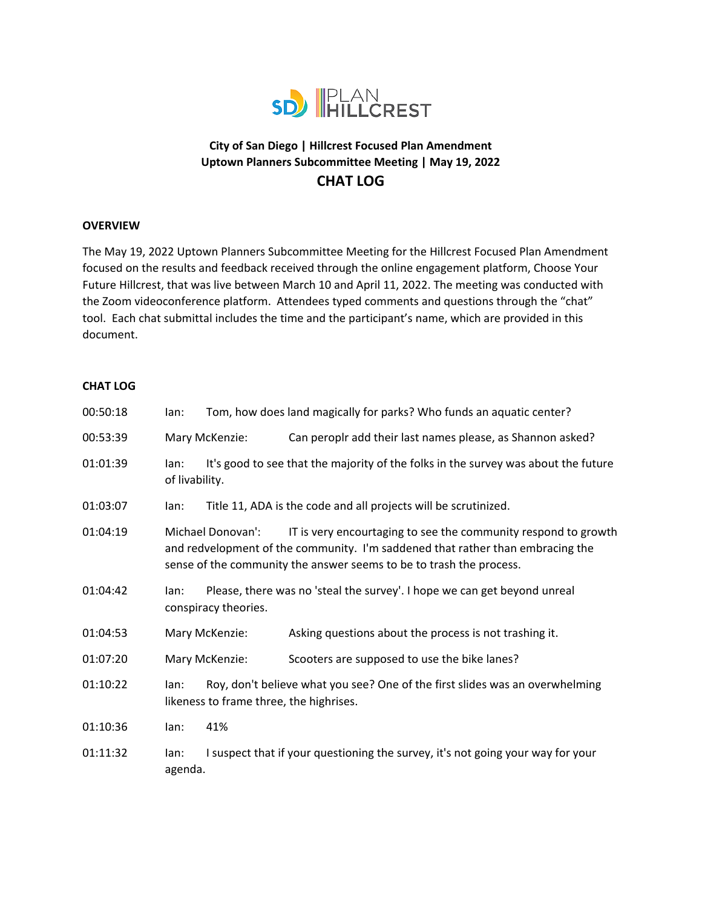

## **City of San Diego | Hillcrest Focused Plan Amendment Uptown Planners Subcommittee Meeting | May 19, 2022 CHAT LOG**

## **OVERVIEW**

The May 19, 2022 Uptown Planners Subcommittee Meeting for the Hillcrest Focused Plan Amendment focused on the results and feedback received through the online engagement platform, Choose Your Future Hillcrest, that was live between March 10 and April 11, 2022. The meeting was conducted with the Zoom videoconference platform. Attendees typed comments and questions through the "chat" tool. Each chat submittal includes the time and the participant's name, which are provided in this document.

## **CHAT LOG**

| 00:50:18 | lan:                                                                                                                                                                                                                                         |                                                                                                                         | Tom, how does land magically for parks? Who funds an aquatic center? |  |
|----------|----------------------------------------------------------------------------------------------------------------------------------------------------------------------------------------------------------------------------------------------|-------------------------------------------------------------------------------------------------------------------------|----------------------------------------------------------------------|--|
| 00:53:39 |                                                                                                                                                                                                                                              | Mary McKenzie:                                                                                                          | Can peroplr add their last names please, as Shannon asked?           |  |
| 01:01:39 | It's good to see that the majority of the folks in the survey was about the future<br>lan:<br>of livability.                                                                                                                                 |                                                                                                                         |                                                                      |  |
| 01:03:07 | lan:                                                                                                                                                                                                                                         |                                                                                                                         | Title 11, ADA is the code and all projects will be scrutinized.      |  |
| 01:04:19 | Michael Donovan':<br>IT is very encourtaging to see the community respond to growth<br>and redvelopment of the community. I'm saddened that rather than embracing the<br>sense of the community the answer seems to be to trash the process. |                                                                                                                         |                                                                      |  |
| 01:04:42 | Please, there was no 'steal the survey'. I hope we can get beyond unreal<br>lan:<br>conspiracy theories.                                                                                                                                     |                                                                                                                         |                                                                      |  |
| 01:04:53 |                                                                                                                                                                                                                                              | Mary McKenzie:                                                                                                          | Asking questions about the process is not trashing it.               |  |
| 01:07:20 |                                                                                                                                                                                                                                              | Mary McKenzie:                                                                                                          | Scooters are supposed to use the bike lanes?                         |  |
| 01:10:22 | lan:                                                                                                                                                                                                                                         | Roy, don't believe what you see? One of the first slides was an overwhelming<br>likeness to frame three, the highrises. |                                                                      |  |
| 01:10:36 | lan:                                                                                                                                                                                                                                         | 41%                                                                                                                     |                                                                      |  |
| 01:11:32 | I suspect that if your questioning the survey, it's not going your way for your<br>lan:<br>agenda.                                                                                                                                           |                                                                                                                         |                                                                      |  |